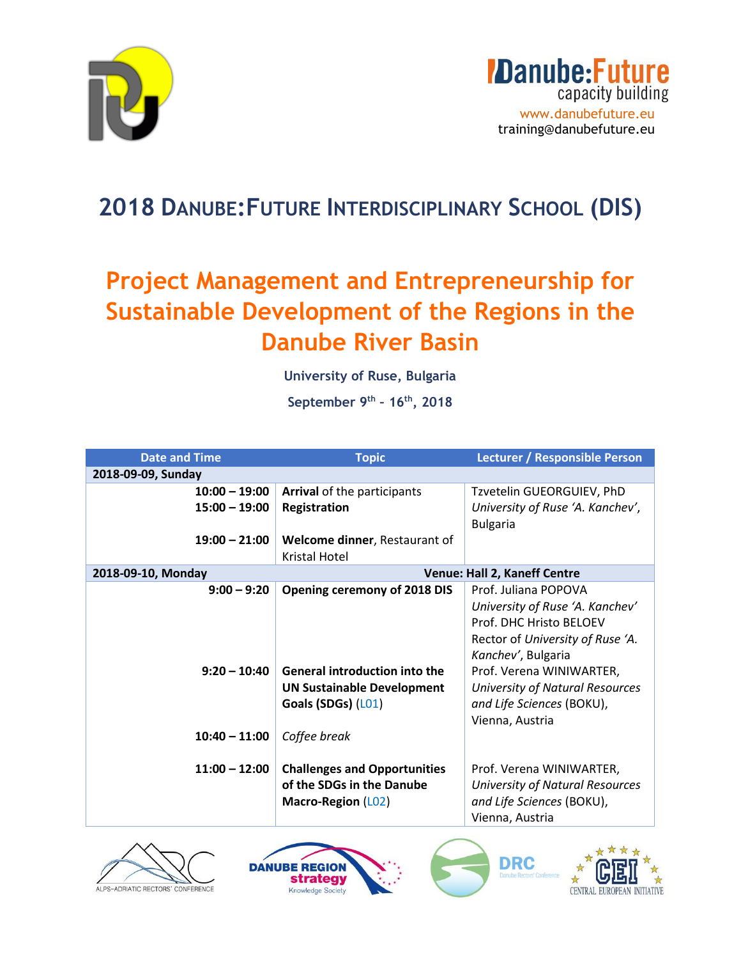

### **2018 DANUBE:FUTURE INTERDISCIPLINARY SCHOOL (DIS)**

## **Project Management and Entrepreneurship for Sustainable Development of the Regions in the Danube River Basin**

**University of Ruse, Bulgaria** 

**September 9th – 16th, 2018**

| <b>Date and Time</b> | <b>Topic</b>                         | Lecturer / Responsible Person          |
|----------------------|--------------------------------------|----------------------------------------|
| 2018-09-09, Sunday   |                                      |                                        |
| $10:00 - 19:00$      | <b>Arrival of the participants</b>   | Tzvetelin GUEORGUIEV, PhD              |
| $15:00 - 19:00$      | <b>Registration</b>                  | University of Ruse 'A. Kanchev',       |
|                      |                                      | <b>Bulgaria</b>                        |
| $19:00 - 21:00$      | Welcome dinner, Restaurant of        |                                        |
|                      | Kristal Hotel                        |                                        |
| 2018-09-10, Monday   |                                      | Venue: Hall 2, Kaneff Centre           |
| $9:00 - 9:20$        | <b>Opening ceremony of 2018 DIS</b>  | Prof. Juliana POPOVA                   |
|                      |                                      | University of Ruse 'A. Kanchev'        |
|                      |                                      | Prof. DHC Hristo BELOEV                |
|                      |                                      | Rector of University of Ruse 'A.       |
|                      |                                      | Kanchev', Bulgaria                     |
| $9:20 - 10:40$       | <b>General introduction into the</b> | Prof. Verena WINIWARTER,               |
|                      | <b>UN Sustainable Development</b>    | University of Natural Resources        |
|                      | Goals (SDGs) (L01)                   | and Life Sciences (BOKU),              |
|                      |                                      | Vienna, Austria                        |
| $10:40 - 11:00$      | Coffee break                         |                                        |
|                      |                                      |                                        |
| $11:00 - 12:00$      | <b>Challenges and Opportunities</b>  | Prof. Verena WINIWARTER,               |
|                      | of the SDGs in the Danube            | <b>University of Natural Resources</b> |
|                      | <b>Macro-Region (L02)</b>            | and Life Sciences (BOKU),              |
|                      |                                      | Vienna, Austria                        |







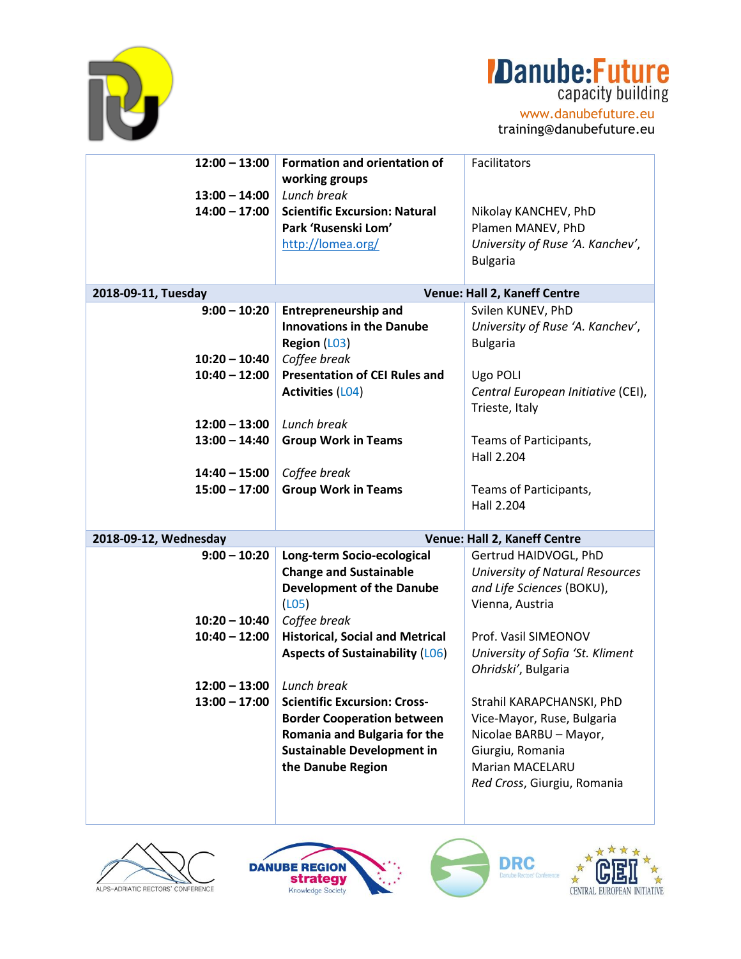

# **Danube: Future**

www.danubefuture.eu training@danubefuture.eu

| $12:00 - 13:00$       | <b>Formation and orientation of</b>                | Facilitators                           |  |
|-----------------------|----------------------------------------------------|----------------------------------------|--|
|                       | working groups                                     |                                        |  |
| $13:00 - 14:00$       | Lunch break                                        |                                        |  |
| $14:00 - 17:00$       | <b>Scientific Excursion: Natural</b>               | Nikolay KANCHEV, PhD                   |  |
|                       | Park 'Rusenski Lom'                                | Plamen MANEV, PhD                      |  |
|                       | http://lomea.org/                                  | University of Ruse 'A. Kanchev',       |  |
|                       |                                                    | <b>Bulgaria</b>                        |  |
|                       |                                                    |                                        |  |
| 2018-09-11, Tuesday   | Venue: Hall 2, Kaneff Centre                       |                                        |  |
| $9:00 - 10:20$        | <b>Entrepreneurship and</b>                        | Svilen KUNEV, PhD                      |  |
|                       | <b>Innovations in the Danube</b>                   | University of Ruse 'A. Kanchev',       |  |
|                       | Region (L03)                                       | <b>Bulgaria</b>                        |  |
| $10:20 - 10:40$       | Coffee break                                       |                                        |  |
| $10:40 - 12:00$       | <b>Presentation of CEI Rules and</b>               | Ugo POLI                               |  |
|                       | <b>Activities (L04)</b>                            | Central European Initiative (CEI),     |  |
|                       |                                                    | Trieste, Italy                         |  |
| $12:00 - 13:00$       | Lunch break                                        |                                        |  |
| $13:00 - 14:40$       | <b>Group Work in Teams</b>                         | Teams of Participants,                 |  |
|                       |                                                    | Hall 2.204                             |  |
|                       |                                                    |                                        |  |
| $14:40 - 15:00$       | Coffee break                                       |                                        |  |
| $15:00 - 17:00$       | <b>Group Work in Teams</b>                         | Teams of Participants,                 |  |
|                       |                                                    | Hall 2.204                             |  |
| 2018-09-12, Wednesday |                                                    | Venue: Hall 2, Kaneff Centre           |  |
| $9:00 - 10:20$        | Long-term Socio-ecological                         | Gertrud HAIDVOGL, PhD                  |  |
|                       | <b>Change and Sustainable</b>                      | <b>University of Natural Resources</b> |  |
|                       | <b>Development of the Danube</b>                   | and Life Sciences (BOKU),              |  |
|                       | (L05)                                              | Vienna, Austria                        |  |
| $10:20 - 10:40$       | Coffee break                                       |                                        |  |
| $10:40 - 12:00$       | <b>Historical, Social and Metrical</b>             | Prof. Vasil SIMEONOV                   |  |
|                       | <b>Aspects of Sustainability (LO6)</b>             | University of Sofia 'St. Kliment       |  |
|                       |                                                    | Ohridski', Bulgaria                    |  |
|                       |                                                    |                                        |  |
| $12:00 - 13:00$       | Lunch break<br><b>Scientific Excursion: Cross-</b> |                                        |  |
| $13:00 - 17:00$       |                                                    | Strahil KARAPCHANSKI, PhD              |  |
|                       | <b>Border Cooperation between</b>                  | Vice-Mayor, Ruse, Bulgaria             |  |
|                       | Romania and Bulgaria for the                       | Nicolae BARBU - Mayor,                 |  |
|                       | <b>Sustainable Development in</b>                  | Giurgiu, Romania                       |  |
|                       | the Danube Region                                  | <b>Marian MACELARU</b>                 |  |
|                       |                                                    | Red Cross, Giurgiu, Romania            |  |
|                       |                                                    |                                        |  |
|                       |                                                    |                                        |  |







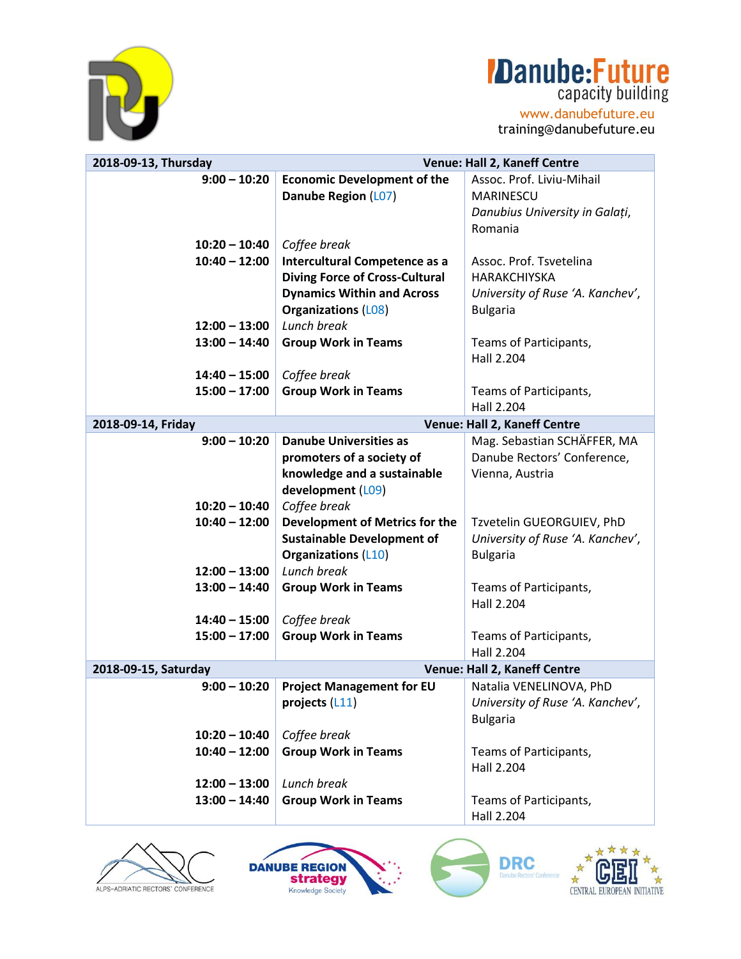

### **Danube:Future** capacity building

www.danubefuture.eu training@danubefuture.eu

**2018-09-13, Thursday Venue: Hall 2, Kaneff Centre 9:00 – 10:20 10:20 – 10:40 10:40 – 12:00 12:00 – 13:00 13:00 – 14:40 14:40 – 15:00 15:00 – 17:00 Economic Development of the Danube Region** (L07) *Coffee break* **Intercultural Competence as a Diving Force of Cross-Cultural Dynamics Within and Across Organizations** (L08) *Lunch break* **Group Work in Teams** *Coffee break* **Group Work in Teams** Assoc. Prof. Liviu-Mihail MARINESCU *Danubius University in Galați*, Romania Assoc. Prof. Tsvetelina HARAKCHIYSKA *University of Ruse 'A. Kanchev'*, Bulgaria Teams of Participants, Hall 2.204 Teams of Participants, Hall 2.204 **2018-09-14, Friday Venue: Hall 2, Kaneff Centre 9:00 – 10:20 10:20 – 10:40 10:40 – 12:00 12:00 – 13:00 13:00 – 14:40 14:40 – 15:00 15:00 – 17:00 Danube Universities as promoters of a society of knowledge and a sustainable development** (L09) *Coffee break* **Development of Metrics for the Sustainable Development of Organizations** (L10) *Lunch break*  **Group Work in Teams** *Coffee break* **Group Work in Teams** Mag. Sebastian SCHÄFFER, MA Danube Rectors' Conference, Vienna, Austria Tzvetelin GUEORGUIEV, PhD *University of Ruse 'A. Kanchev'*, Bulgaria Teams of Participants, Hall 2.204 Teams of Participants, Hall 2.204 **2018-09-15, Saturday Venue: Hall 2, Kaneff Centre 9:00 – 10:20 10:20 – 10:40 10:40 – 12:00 12:00 – 13:00 13:00 – 14:40 Project Management for EU projects** (L11) *Coffee break* **Group Work in Teams** *Lunch break*  **Group Work in Teams** Natalia VENELINOVA, PhD *University of Ruse 'A. Kanchev'*, Bulgaria Teams of Participants, Hall 2.204 Teams of Participants, Hall 2.204